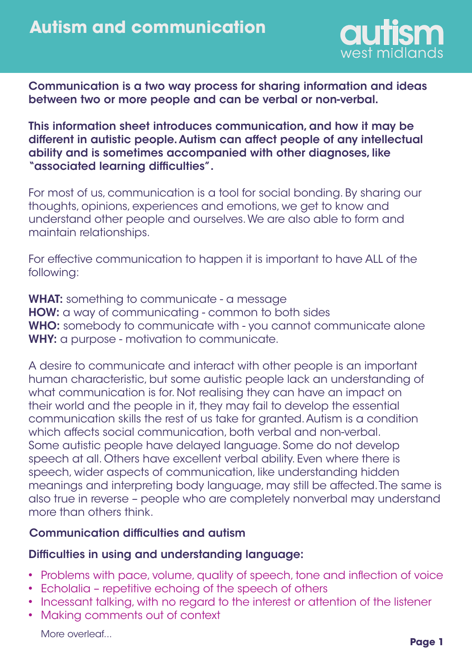

Communication is a two way process for sharing information and ideas between two or more people and can be verbal or non-verbal.

This information sheet introduces communication, and how it may be different in autistic people. Autism can affect people of any intellectual ability and is sometimes accompanied with other diagnoses, like "associated learning difficulties".

For most of us, communication is a tool for social bonding. By sharing our thoughts, opinions, experiences and emotions, we get to know and understand other people and ourselves. We are also able to form and maintain relationships.

For effective communication to happen it is important to have ALL of the following:

WHAT: something to communicate - a message HOW: a way of communicating - common to both sides WHO: somebody to communicate with - you cannot communicate alone WHY: a purpose - motivation to communicate.

A desire to communicate and interact with other people is an important human characteristic, but some autistic people lack an understanding of what communication is for. Not realising they can have an impact on their world and the people in it, they may fail to develop the essential communication skills the rest of us take for granted. Autism is a condition which affects social communication, both verbal and non-verbal. Some autistic people have delayed language. Some do not develop speech at all. Others have excellent verbal ability. Even where there is speech, wider aspects of communication, like understanding hidden meanings and interpreting body language, may still be affected. The same is also true in reverse – people who are completely nonverbal may understand more than others think.

#### Communication difficulties and autism

## Difficulties in using and understanding language:

- Problems with pace, volume, quality of speech, tone and inflection of voice
- Echolalia repetitive echoing of the speech of others
- Incessant talking, with no regard to the interest or attention of the listener
- Making comments out of context

More overleaf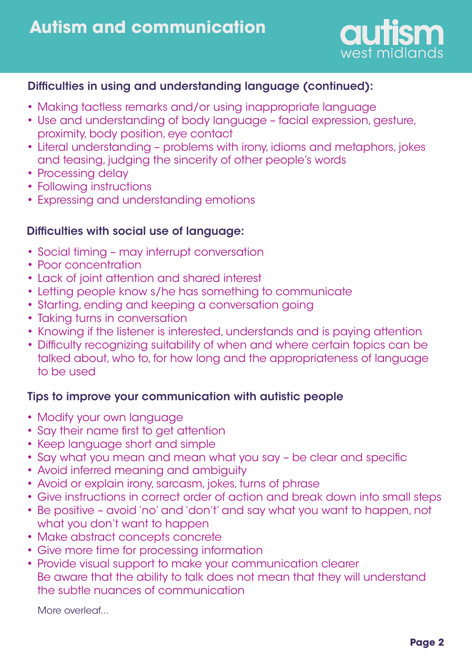

# Difficulties in using and understanding language (continued):

- Making tactless remarks and/or using inappropriate language •
- Use and understanding of body language facial expression, gesture, proximity, body position, eye contact
- Literal understanding problems with irony, idioms and metaphors, jokes and teasing, judging the sincerity of other people's words
- Processing delay
- Following instructions
- Expressing and understanding emotions •

# Difficulties with social use of language:

- Social timing may interrupt conversation
- Poor concentration
- Lack of joint attention and shared interest
- Letting people know s/he has something to communicate
- Starting, ending and keeping a conversation going
- Taking turns in conversation
- Knowing if the listener is interested, understands and is paying attention
- Difficulty recognizing suitability of when and where certain topics can be talked about, who to, for how long and the appropriateness of language to be used

## Tips to improve your communication with autistic people

- Modify your own language
- Say their name first to get attention
- Keep language short and simple
- Say what you mean and mean what you say be clear and specific
- Avoid inferred meaning and ambiguity •
- Avoid or explain irony, sarcasm, jokes, turns of phrase •
- Give instructions in correct order of action and break down into small steps •
- Be positive avoid 'no' and 'don't' and say what you want to happen, not what you don't want to happen
- Make abstract concepts concrete
- Give more time for processing information
- Provide visual support to make your communication clearer Be aware that the ability to talk does not mean that they will understand the subtle nuances of communication

More overleaf...